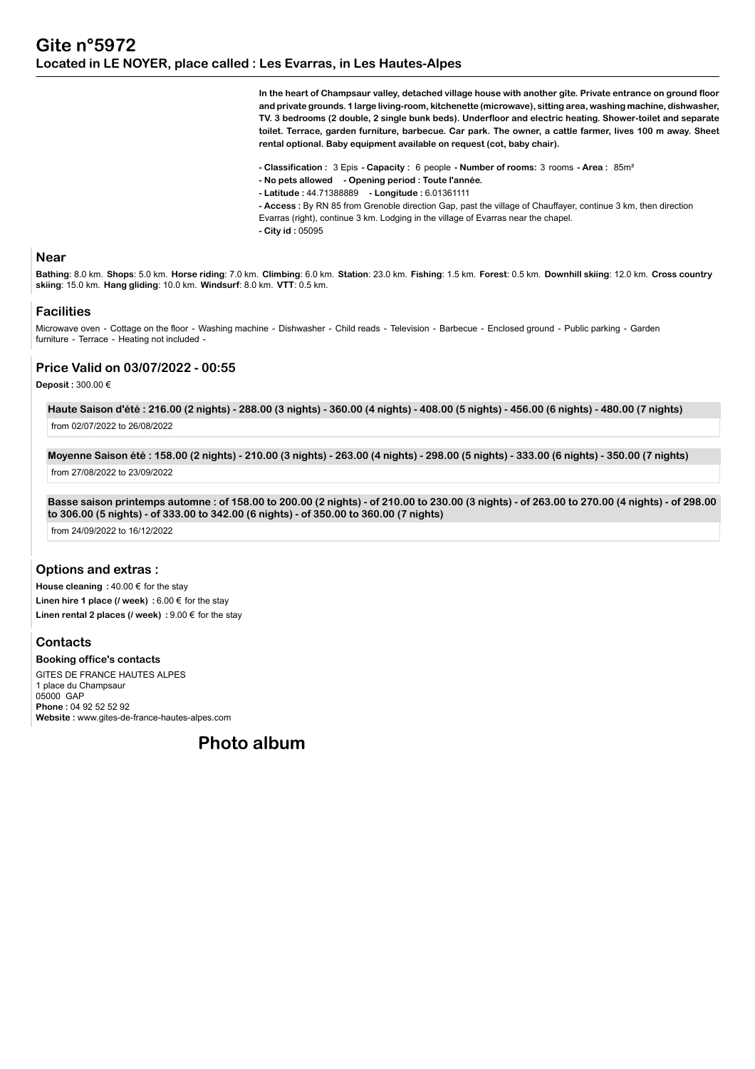**In the heart of Champsaur valley, detached village house with another gîte. Private entrance on ground floor and private grounds. 1 large living-room, kitchenette (microwave), sitting area, washing machine, dishwasher, TV. 3 bedrooms (2 double, 2 single bunk beds). Underfloor and electric heating. Shower-toilet and separate toilet. Terrace, garden furniture, barbecue. Car park. The owner, a cattle farmer, lives 100 m away. Sheet rental optional. Baby equipment available on request (cot, baby chair).**

**- Classification :** 3 Epis **- Capacity :** 6 people **- Number of rooms:** 3 rooms **- Area :** 85m²

- **No pets allowed Opening period : Toute l'année.**
- **Latitude :** 44.71388889  **Longitude :** 6.01361111
- **Access :** By RN 85 from Grenoble direction Gap, past the village of Chauffayer, continue 3 km, then direction
- Evarras (right), continue 3 km. Lodging in the village of Evarras near the chapel.
- **City id :** 05095

#### **Near**

Bathing: 8.0 km. Shops: 5.0 km. Horse riding: 7.0 km. Climbing: 6.0 km. Station: 23.0 km. Fishing: 1.5 km. Forest: 0.5 km. Downhill skiing: 12.0 km. Cross country **skiing**: 15.0 km. **Hang gliding**: 10.0 km. **Windsurf**: 8.0 km. **VTT**: 0.5 km.

#### **Facilities**

Microwave oven - Cottage on the floor - Washing machine - Dishwasher - Child reads - Television - Barbecue - Enclosed ground - Public parking - Garden furniture - Terrace - Heating not included -

# **Price Valid on 03/07/2022 - 00:55**

## **Deposit :** 300.00 €

**Haute Saison d'été : 216.00 (2 nights) - 288.00 (3 nights) - 360.00 (4 nights) - 408.00 (5 nights) - 456.00 (6 nights) - 480.00 (7 nights)** from 02/07/2022 to 26/08/2022

**Moyenne Saison été : 158.00 (2 nights) - 210.00 (3 nights) - 263.00 (4 nights) - 298.00 (5 nights) - 333.00 (6 nights) - 350.00 (7 nights)** from 27/08/2022 to 23/09/2022

**Basse saison printemps automne : of 158.00 to 200.00 (2 nights) - of 210.00 to 230.00 (3 nights) - of 263.00 to 270.00 (4 nights) - of 298.00 to 306.00 (5 nights) - of 333.00 to 342.00 (6 nights) - of 350.00 to 360.00 (7 nights)**

from 24/09/2022 to 16/12/2022

## **Options and extras :**

**House cleaning :** 40.00 € for the stay **Linen hire 1 place (/ week) :** 6.00 € for the stay **Linen rental 2 places (/ week) :** 9.00 € for the stay

**Contacts Booking office's contacts**

GITES DE FRANCE HAUTES ALPES 1 place du Champsaur 05000 GAP **Phone :** 04 92 52 52 92 **Website :** www.gites-de-france-hautes-alpes.com

**Photo album**